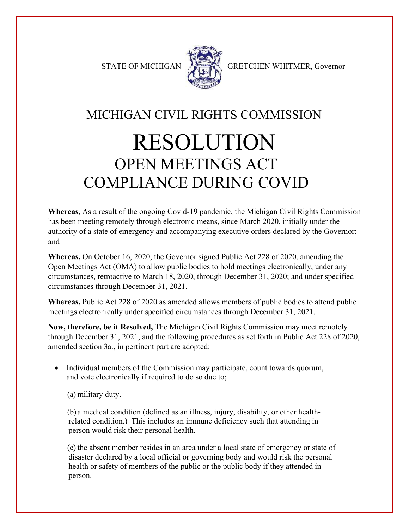

STATE OF MICHIGAN GRETCHEN WHITMER, Governor

# MICHIGAN CIVIL RIGHTS COMMISSION RESOLUTION OPEN MEETINGS ACT COMPLIANCE DURING COVID

**Whereas,** As a result of the ongoing Covid-19 pandemic, the Michigan Civil Rights Commission has been meeting remotely through electronic means, since March 2020, initially under the authority of a state of emergency and accompanying executive orders declared by the Governor; and

**Whereas,** On October 16, 2020, the Governor signed Public Act 228 of 2020, amending the Open Meetings Act (OMA) to allow public bodies to hold meetings electronically, under any circumstances, retroactive to March 18, 2020, through December 31, 2020; and under specified circumstances through December 31, 2021.

**Whereas,** Public Act 228 of 2020 as amended allows members of public bodies to attend public meetings electronically under specified circumstances through December 31, 2021.

**Now, therefore, be it Resolved,** The Michigan Civil Rights Commission may meet remotely through December 31, 2021, and the following procedures as set forth in Public Act 228 of 2020, amended section 3a., in pertinent part are adopted:

• Individual members of the Commission may participate, count towards quorum, and vote electronically if required to do so due to;

(a) military duty.

(b) a medical condition (defined as an illness, injury, disability, or other healthrelated condition.) This includes an immune deficiency such that attending in person would risk their personal health.

(c) the absent member resides in an area under a local state of emergency or state of disaster declared by a local official or governing body and would risk the personal health or safety of members of the public or the public body if they attended in person.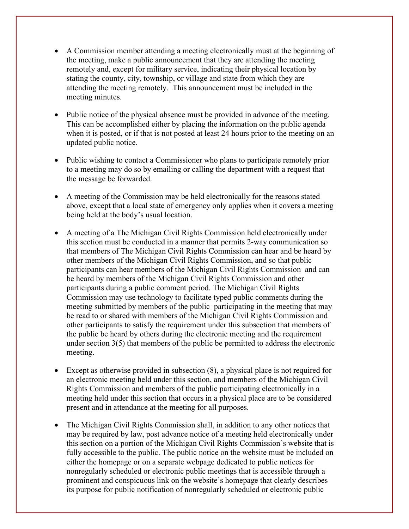- A Commission member attending a meeting electronically must at the beginning of the meeting, make a public announcement that they are attending the meeting remotely and, except for military service, indicating their physical location by stating the county, city, township, or village and state from which they are attending the meeting remotely. This announcement must be included in the meeting minutes.
- Public notice of the physical absence must be provided in advance of the meeting. This can be accomplished either by placing the information on the public agenda when it is posted, or if that is not posted at least 24 hours prior to the meeting on an updated public notice.
- Public wishing to contact a Commissioner who plans to participate remotely prior to a meeting may do so by emailing or calling the department with a request that the message be forwarded.
- A meeting of the Commission may be held electronically for the reasons stated above, except that a local state of emergency only applies when it covers a meeting being held at the body's usual location.
- A meeting of a The Michigan Civil Rights Commission held electronically under this section must be conducted in a manner that permits 2-way communication so that members of The Michigan Civil Rights Commission can hear and be heard by other members of the Michigan Civil Rights Commission, and so that public participants can hear members of the Michigan Civil Rights Commission and can be heard by members of the Michigan Civil Rights Commission and other participants during a public comment period. The Michigan Civil Rights Commission may use technology to facilitate typed public comments during the meeting submitted by members of the public participating in the meeting that may be read to or shared with members of the Michigan Civil Rights Commission and other participants to satisfy the requirement under this subsection that members of the public be heard by others during the electronic meeting and the requirement under section 3(5) that members of the public be permitted to address the electronic meeting.
- Except as otherwise provided in subsection (8), a physical place is not required for an electronic meeting held under this section, and members of the Michigan Civil Rights Commission and members of the public participating electronically in a meeting held under this section that occurs in a physical place are to be considered present and in attendance at the meeting for all purposes.
- The Michigan Civil Rights Commission shall, in addition to any other notices that may be required by law, post advance notice of a meeting held electronically under this section on a portion of the Michigan Civil Rights Commission's website that is fully accessible to the public. The public notice on the website must be included on either the homepage or on a separate webpage dedicated to public notices for nonregularly scheduled or electronic public meetings that is accessible through a prominent and conspicuous link on the website's homepage that clearly describes its purpose for public notification of nonregularly scheduled or electronic public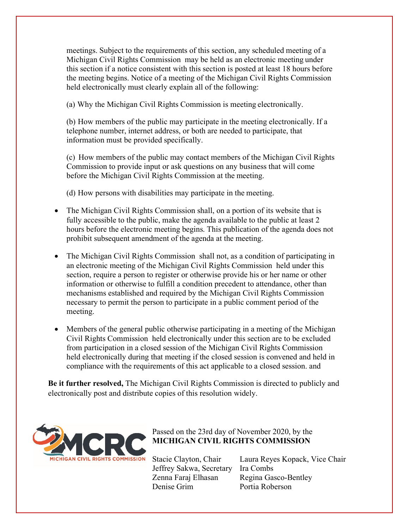meetings. Subject to the requirements of this section, any scheduled meeting of a Michigan Civil Rights Commission may be held as an electronic meeting under this section if a notice consistent with this section is posted at least 18 hours before the meeting begins. Notice of a meeting of the Michigan Civil Rights Commission held electronically must clearly explain all of the following:

(a) Why the Michigan Civil Rights Commission is meeting electronically.

(b) How members of the public may participate in the meeting electronically. If a telephone number, internet address, or both are needed to participate, that information must be provided specifically.

(c) How members of the public may contact members of the Michigan Civil Rights Commission to provide input or ask questions on any business that will come before the Michigan Civil Rights Commission at the meeting.

(d) How persons with disabilities may participate in the meeting.

- The Michigan Civil Rights Commission shall, on a portion of its website that is fully accessible to the public, make the agenda available to the public at least 2 hours before the electronic meeting begins. This publication of the agenda does not prohibit subsequent amendment of the agenda at the meeting.
- The Michigan Civil Rights Commission shall not, as a condition of participating in an electronic meeting of the Michigan Civil Rights Commission held under this section, require a person to register or otherwise provide his or her name or other information or otherwise to fulfill a condition precedent to attendance, other than mechanisms established and required by the Michigan Civil Rights Commission necessary to permit the person to participate in a public comment period of the meeting.
- Members of the general public otherwise participating in a meeting of the Michigan Civil Rights Commission held electronically under this section are to be excluded from participation in a closed session of the Michigan Civil Rights Commission held electronically during that meeting if the closed session is convened and held in compliance with the requirements of this act applicable to a closed session. and

**Be it further resolved,** The Michigan Civil Rights Commission is directed to publicly and electronically post and distribute copies of this resolution widely.



Passed on the 23rd day of November 2020, by the **MICHIGAN CIVIL RIGHTS COMMISSION**

Jeffrey Sakwa, Secretary Ira Combs Zenna Faraj Elhasan Regina Gasco-Bentley Denise Grim Portia Roberson

Stacie Clayton, Chair Laura Reyes Kopack, Vice Chair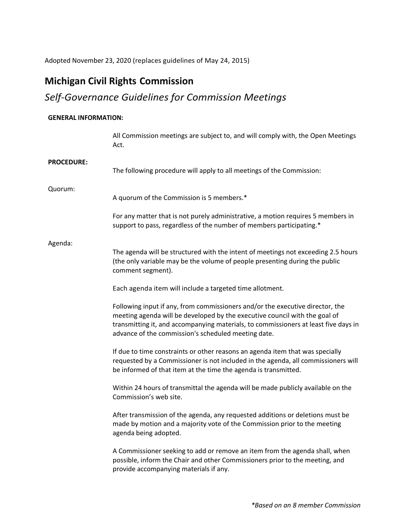Adopted November 23, 2020 (replaces guidelines of May 24, 2015)

# **Michigan Civil Rights Commission**

# *Self-Governance Guidelines for Commission Meetings*

## **GENERAL INFORMATION:**

|                   | All Commission meetings are subject to, and will comply with, the Open Meetings<br>Act.                                                                                                                                                                                                                   |
|-------------------|-----------------------------------------------------------------------------------------------------------------------------------------------------------------------------------------------------------------------------------------------------------------------------------------------------------|
| <b>PROCEDURE:</b> | The following procedure will apply to all meetings of the Commission:                                                                                                                                                                                                                                     |
| Quorum:           | A quorum of the Commission is 5 members.*                                                                                                                                                                                                                                                                 |
|                   | For any matter that is not purely administrative, a motion requires 5 members in<br>support to pass, regardless of the number of members participating.*                                                                                                                                                  |
| Agenda:           | The agenda will be structured with the intent of meetings not exceeding 2.5 hours<br>(the only variable may be the volume of people presenting during the public<br>comment segment).                                                                                                                     |
|                   | Each agenda item will include a targeted time allotment.                                                                                                                                                                                                                                                  |
|                   | Following input if any, from commissioners and/or the executive director, the<br>meeting agenda will be developed by the executive council with the goal of<br>transmitting it, and accompanying materials, to commissioners at least five days in<br>advance of the commission's scheduled meeting date. |
|                   | If due to time constraints or other reasons an agenda item that was specially<br>requested by a Commissioner is not included in the agenda, all commissioners will<br>be informed of that item at the time the agenda is transmitted.                                                                     |
|                   | Within 24 hours of transmittal the agenda will be made publicly available on the<br>Commission's web site.                                                                                                                                                                                                |
|                   | After transmission of the agenda, any requested additions or deletions must be<br>made by motion and a majority vote of the Commission prior to the meeting<br>agenda being adopted.                                                                                                                      |
|                   | A Commissioner seeking to add or remove an item from the agenda shall, when<br>possible, inform the Chair and other Commissioners prior to the meeting, and<br>provide accompanying materials if any.                                                                                                     |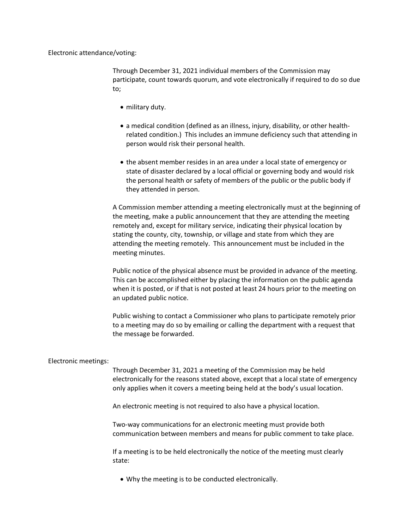Electronic attendance/voting:

Through December 31, 2021 individual members of the Commission may participate, count towards quorum, and vote electronically if required to do so due to;

- military duty.
- a medical condition (defined as an illness, injury, disability, or other healthrelated condition.) This includes an immune deficiency such that attending in person would risk their personal health.
- the absent member resides in an area under a local state of emergency or state of disaster declared by a local official or governing body and would risk the personal health or safety of members of the public or the public body if they attended in person.

A Commission member attending a meeting electronically must at the beginning of the meeting, make a public announcement that they are attending the meeting remotely and, except for military service, indicating their physical location by stating the county, city, township, or village and state from which they are attending the meeting remotely. This announcement must be included in the meeting minutes.

Public notice of the physical absence must be provided in advance of the meeting. This can be accomplished either by placing the information on the public agenda when it is posted, or if that is not posted at least 24 hours prior to the meeting on an updated public notice.

Public wishing to contact a Commissioner who plans to participate remotely prior to a meeting may do so by emailing or calling the department with a request that the message be forwarded.

### Electronic meetings:

Through December 31, 2021 a meeting of the Commission may be held electronically for the reasons stated above, except that a local state of emergency only applies when it covers a meeting being held at the body's usual location.

An electronic meeting is not required to also have a physical location.

Two-way communications for an electronic meeting must provide both communication between members and means for public comment to take place.

If a meeting is to be held electronically the notice of the meeting must clearly state:

• Why the meeting is to be conducted electronically.